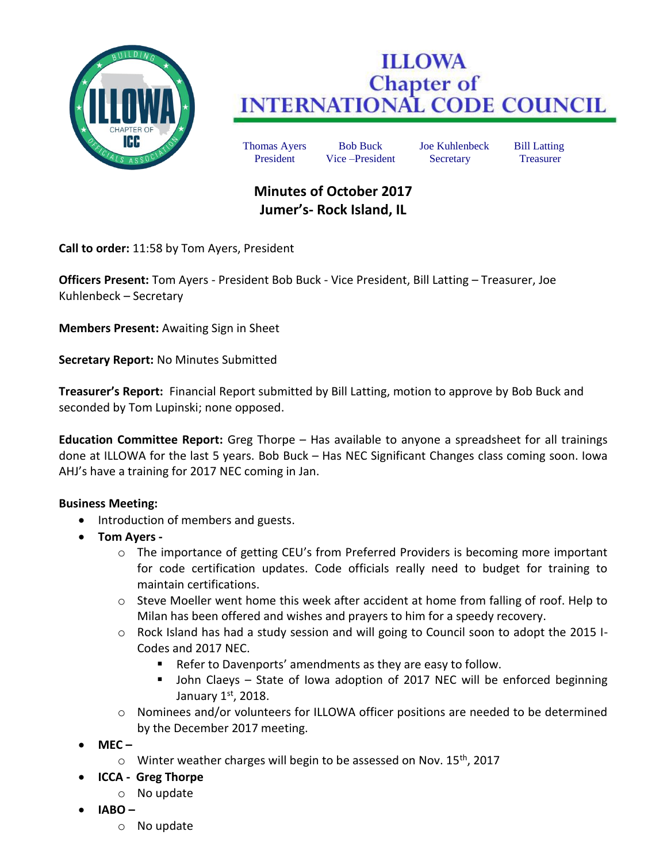

## **ILLOWA Chapter of<br>INTERNATIONAL CODE COUNCIL**

Thomas Ayers Bob Buck Joe Kuhlenbeck Bill Latting President Vice –President Secretary Treasurer

## **Minutes of October 2017 Jumer's- Rock Island, IL**

**Call to order:** 11:58 by Tom Ayers, President

**Officers Present:** Tom Ayers - President Bob Buck - Vice President, Bill Latting – Treasurer, Joe Kuhlenbeck – Secretary

**Members Present:** Awaiting Sign in Sheet

**Secretary Report:** No Minutes Submitted

**Treasurer's Report:** Financial Report submitted by Bill Latting, motion to approve by Bob Buck and seconded by Tom Lupinski; none opposed.

**Education Committee Report:** Greg Thorpe – Has available to anyone a spreadsheet for all trainings done at ILLOWA for the last 5 years. Bob Buck – Has NEC Significant Changes class coming soon. Iowa AHJ's have a training for 2017 NEC coming in Jan.

## **Business Meeting:**

- Introduction of members and guests.
- **Tom Ayers** 
	- o The importance of getting CEU's from Preferred Providers is becoming more important for code certification updates. Code officials really need to budget for training to maintain certifications.
	- $\circ$  Steve Moeller went home this week after accident at home from falling of roof. Help to Milan has been offered and wishes and prayers to him for a speedy recovery.
	- o Rock Island has had a study session and will going to Council soon to adopt the 2015 I-Codes and 2017 NEC.
		- Refer to Davenports' amendments as they are easy to follow.
		- John Claeys State of Iowa adoption of 2017 NEC will be enforced beginning January  $1<sup>st</sup>$ , 2018.
	- o Nominees and/or volunteers for ILLOWA officer positions are needed to be determined by the December 2017 meeting.
- **MEC –**
	- $\circ$  Winter weather charges will begin to be assessed on Nov. 15<sup>th</sup>, 2017
- **ICCA Greg Thorpe**
	- o No update
- **IABO –**
	- o No update